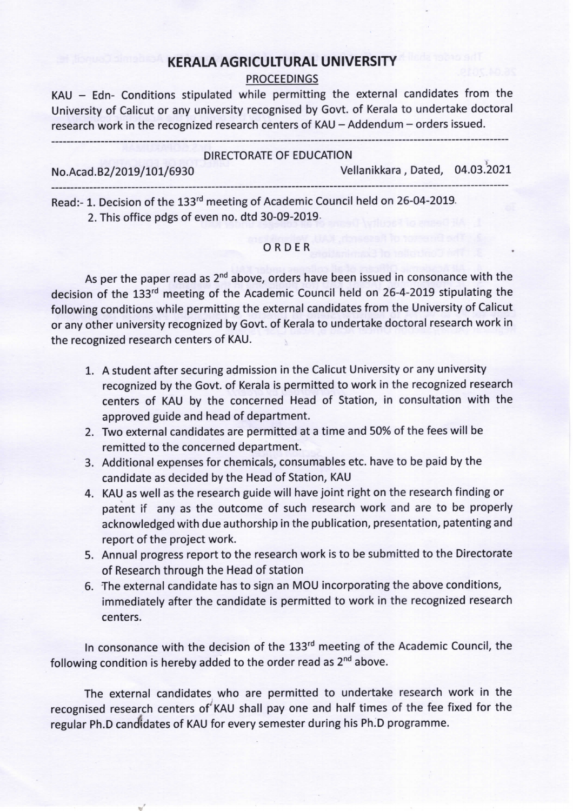## KERALA AGRICULTURAL UNIVERSITY

## PROCEEDINGS

KAU - Edn- Conditions stipulated while permitting the external candidates from the University of Calicut or any university recognised by Govt. of Kerala to undertake doctoral research work in the recognized research centers of KAU - Addendum - orders issued.

|                          | DIRECTORATE OF EDUCATION        |  |
|--------------------------|---------------------------------|--|
| No.Acad.B2/2019/101/6930 | Vellanikkara, Dated, 04.03.2021 |  |
|                          |                                 |  |

Read:-1. Decision of the 133<sup>rd</sup> meeting of Academic Council held on 26-04-2019. 2. This office pdgs of even no. dtd 30-09-2019.

## ORDER

As per the paper read as 2<sup>nd</sup> above, orders have been issued in consonance with the decision of the 133<sup>rd</sup> meeting of the Academic Council held on 26-4-2019 stipulating the following conditions while permitting the external candidates from the University of Calicut or any other university recognized by Govt. of Kerala to undertake doctoral research work in the recognized research centers of KAU.

- 1. A student after securing admission in the Calicut University or any university recognized by the Govt. of Kerala is permitted to work in the recognized research centers of KAU by the concerned Head of Station, in consultation with the approved guide and head of department.
- 2. Two external candidates are permitted at a time and 50% of the fees will be remitted to the concerned department.
- 3. Additional expenses for chemicals, consumables etc. have to be paid by the candidate as decided by the Head of Station, KAU
- 4. KAU as well as the research guide will have joint right on the research finding or patent if any as the outcome of such research work and are to be properly acknowledged with due authorship in the publication, presentation, patenting and report of the project work.
- 5. Annual progress report to the research work is to be submitted to the Directorate of Research through the Head of station
- 6. The external candidate has to sign an MOU incorporating the above conditions, immediately after the candidate is permitted to work in the recognized research centers.

In consonance with the decision of the 133<sup>rd</sup> meeting of the Academic Council, the following condition is hereby added to the order read as  $2^{nd}$  above.

The external candidates who are permitted to undertake research work in the recognised research centers of KAU shall pay one and half times of the fee fixed for the regular Ph.D candidates of KAU for every semester during his Ph..D programme.